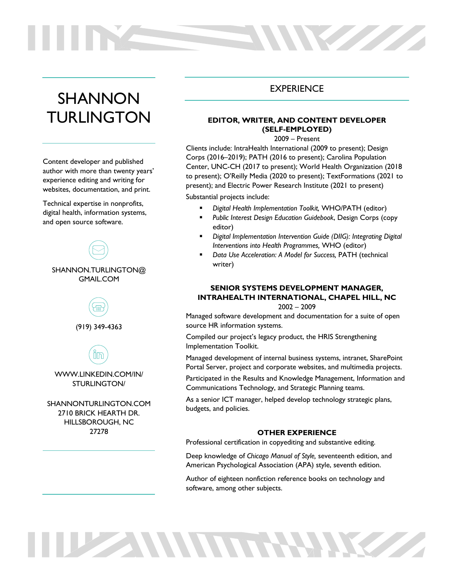# SHANNON **TURLINGTON**

Content developer and published author with more than twenty years' experience editing and writing for websites, documentation, and print.

Technical expertise in nonprofits, digital health, information systems, and open source software.



(919) 349-4363

⅏ WWW.LINKEDIN.COM/IN/

STURLINGTON/

SHANNONTURLINGTON.COM 2710 BRICK HEARTH DR. HILLSBOROUGH, NC 27278

# **EXPERIENCE**

W

## **EDITOR, WRITER, AND CONTENT DEVELOPER (SELF-EMPLOYED)**

### 2009 – Present

Clients include: IntraHealth International (2009 to present); Design Corps (2016–2019); PATH (2016 to present); Carolina Population Center, UNC-CH (2017 to present); World Health Organization (2018 to present); O'Reilly Media (2020 to present); TextFormations (2021 to present); and Electric Power Research Institute (2021 to present)

#### Substantial projects include:

- § *Digital Health Implementation Toolkit,* WHO/PATH (editor)
- § *Public Interest Design Education Guidebook*, Design Corps (copy editor)
- § *Digital Implementation Intervention Guide (DIIG): Integrating Digital Interventions into Health Programmes,* WHO (editor)
- § *Data Use Acceleration: A Model for Success,* PATH (technical writer)

# **SENIOR SYSTEMS DEVELOPMENT MANAGER, INTRAHEALTH INTERNATIONAL, CHAPEL HILL, NC**

2002 – 2009

Managed software development and documentation for a suite of open source HR information systems.

Compiled our project's legacy product, the HRIS Strengthening Implementation Toolkit.

Managed development of internal business systems, intranet, SharePoint Portal Server, project and corporate websites, and multimedia projects.

Participated in the Results and Knowledge Management, Information and Communications Technology, and Strategic Planning teams.

As a senior ICT manager, helped develop technology strategic plans, budgets, and policies.

#### **OTHER EXPERIENCE**

Professional certification in copyediting and substantive editing.

Deep knowledge of *Chicago Manual of Style,* seventeenth edition, and American Psychological Association (APA) style, seventh edition.

Author of eighteen nonfiction reference books on technology and software, among other subjects.